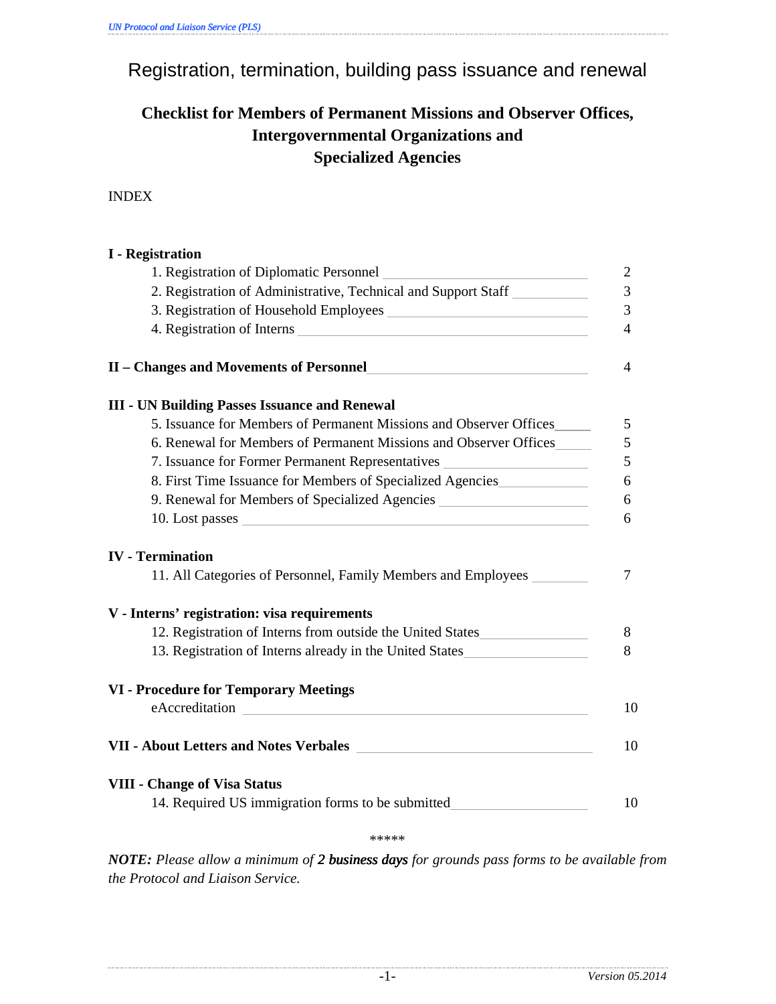Registration, termination, building pass issuance and renewal

# **Checklist for Members of Permanent Missions and Observer Offices, Intergovernmental Organizations and Specialized Agencies**

INDEX

| <b>I</b> - Registration                                                                                        |                          |
|----------------------------------------------------------------------------------------------------------------|--------------------------|
|                                                                                                                | $\overline{2}$           |
| 2. Registration of Administrative, Technical and Support Staff                                                 | $\overline{3}$           |
|                                                                                                                | 3                        |
| 4. Registration of Interns                                                                                     | $\overline{\mathcal{A}}$ |
| II – Changes and Movements of Personnel                                                                        | 4                        |
| <b>III - UN Building Passes Issuance and Renewal</b>                                                           |                          |
| 5. Issuance for Members of Permanent Missions and Observer Offices                                             | 5                        |
| 6. Renewal for Members of Permanent Missions and Observer Offices                                              | 5                        |
| 7. Issuance for Former Permanent Representatives                                                               | 5                        |
| 8. First Time Issuance for Members of Specialized Agencies                                                     | 6                        |
| 9. Renewal for Members of Specialized Agencies _________________________________                               | 6                        |
|                                                                                                                | 6                        |
| <b>IV</b> - Termination                                                                                        |                          |
| 11. All Categories of Personnel, Family Members and Employees                                                  | 7                        |
| V - Interns' registration: visa requirements                                                                   |                          |
| 12. Registration of Interns from outside the United States                                                     | 8                        |
| 13. Registration of Interns already in the United States                                                       | 8                        |
| <b>VI</b> - Procedure for Temporary Meetings                                                                   |                          |
| eAccreditation experience and the set of the set of the set of the set of the set of the set of the set of the | 10                       |
|                                                                                                                | 10                       |
| <b>VIII - Change of Visa Status</b>                                                                            |                          |
| 14. Required US immigration forms to be submitted_________                                                     | 10                       |

\*\*\*\*\*

*NOTE: Please allow a minimum of 2 business days 2 days for grounds pass forms to be available from the Protocol and Liaison Service.*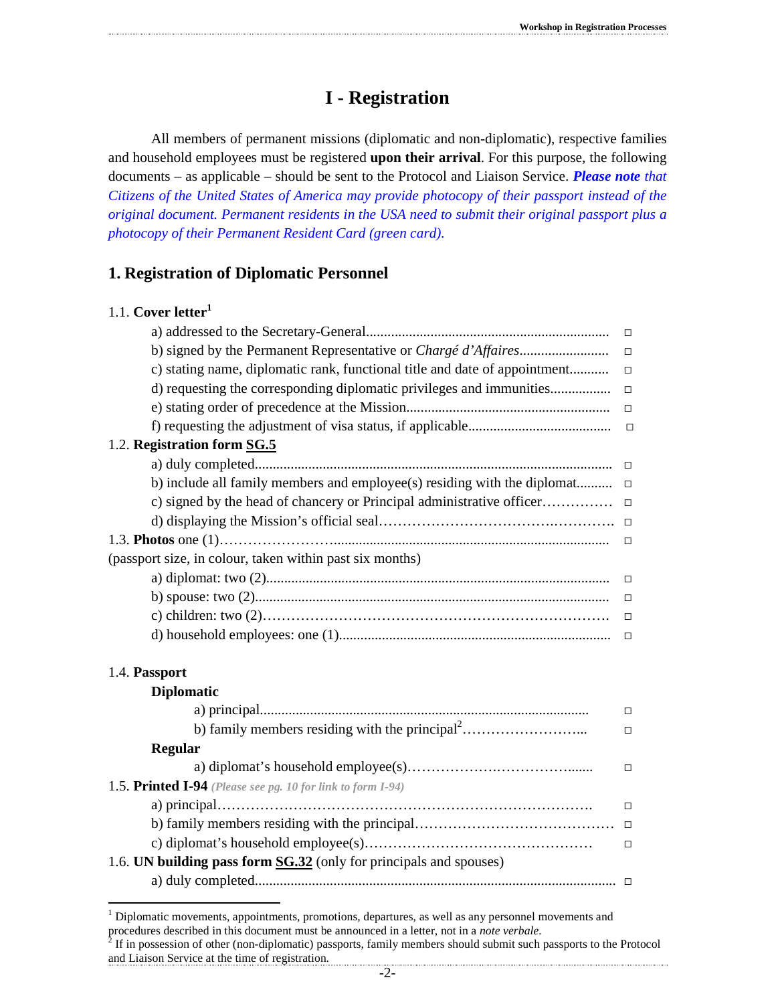# **I - Registration**

All members of permanent missions (diplomatic and non-diplomatic), respective families and household employees must be registered **upon their arrival**. For this purpose, the following documents – as applicable – should be sent to the Protocol and Liaison Service. *Please note that Citizens of the United States of America may provide photocopy of their passport instead of the original document. Permanent residents in the USA need to submit their original passport plus a photocopy of their Permanent Resident Card (green card).*

## **1. Registration of Diplomatic Personnel**

|  | 1.1. Cover letter <sup>1</sup> |
|--|--------------------------------|
|--|--------------------------------|

| c) stating name, diplomatic rank, functional title and date of appointment |  |
|----------------------------------------------------------------------------|--|
|                                                                            |  |
|                                                                            |  |
|                                                                            |  |
| 1.2. Registration form SG.5                                                |  |
|                                                                            |  |
| b) include all family members and employee(s) residing with the diplomat   |  |
|                                                                            |  |
|                                                                            |  |
|                                                                            |  |
| (passport size, in colour, taken within past six months)                   |  |
|                                                                            |  |
|                                                                            |  |
|                                                                            |  |
|                                                                            |  |
|                                                                            |  |
| 1.4. Passport                                                              |  |
| <b>Diplomatic</b>                                                          |  |
|                                                                            |  |

|                                                                    | $\Box$ |
|--------------------------------------------------------------------|--------|
| <b>Regular</b>                                                     |        |
|                                                                    | $\Box$ |
| 1.5. Printed I-94 (Please see pg. 10 for link to form I-94)        |        |
|                                                                    |        |
|                                                                    |        |
|                                                                    |        |
| 1.6. UN building pass form SG.32 (only for principals and spouses) |        |
|                                                                    |        |
|                                                                    |        |

<sup>1&</sup>lt;br>
<sup>1</sup> Diplomatic movements, appointments, promotions, departures, as well as any personnel movements and procedures described in this document must be announced in a letter, not in a *note verbale*.<br><sup>2</sup> If in possession of other (non-diplomatic) passports, family members should submit such passports to the Protocol

and Liaison Service at the time of registration.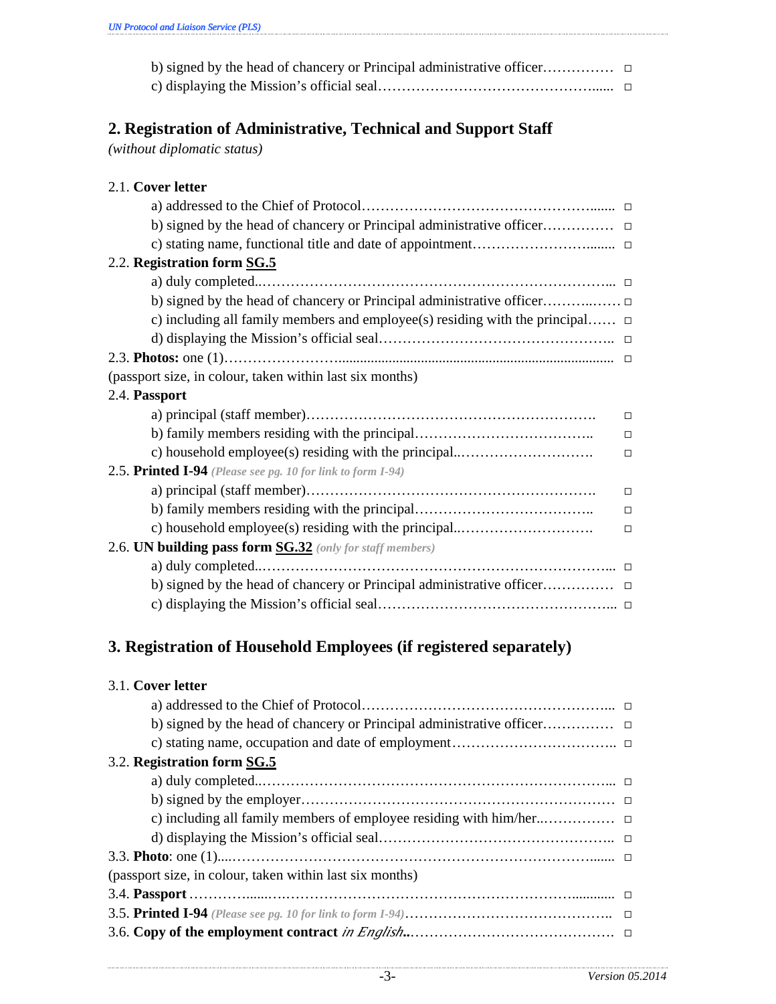# **2. Registration of Administrative, Technical and Support Staff**

*(without diplomatic status)*

| 2.1. Cover letter                                                                  |        |
|------------------------------------------------------------------------------------|--------|
|                                                                                    |        |
|                                                                                    |        |
|                                                                                    |        |
| 2.2. Registration form SG.5                                                        |        |
|                                                                                    |        |
|                                                                                    |        |
| c) including all family members and employee(s) residing with the principal $\Box$ |        |
|                                                                                    |        |
|                                                                                    |        |
| (passport size, in colour, taken within last six months)                           |        |
| 2.4. Passport                                                                      |        |
|                                                                                    | $\Box$ |
|                                                                                    | $\Box$ |
| c) household employee(s) residing with the principal                               | $\Box$ |
| 2.5. Printed I-94 (Please see pg. 10 for link to form I-94)                        |        |
|                                                                                    | $\Box$ |
|                                                                                    | $\Box$ |
| c) household employee(s) residing with the principal                               | $\Box$ |
| 2.6. UN building pass form SG.32 (only for staff members)                          |        |
|                                                                                    |        |
|                                                                                    |        |
|                                                                                    |        |

# **3. Registration of Household Employees (if registered separately)**

#### 3.1. **Cover letter**

| 3.2. Registration form SG.5                              |
|----------------------------------------------------------|
|                                                          |
|                                                          |
|                                                          |
|                                                          |
|                                                          |
| (passport size, in colour, taken within last six months) |
|                                                          |
|                                                          |
|                                                          |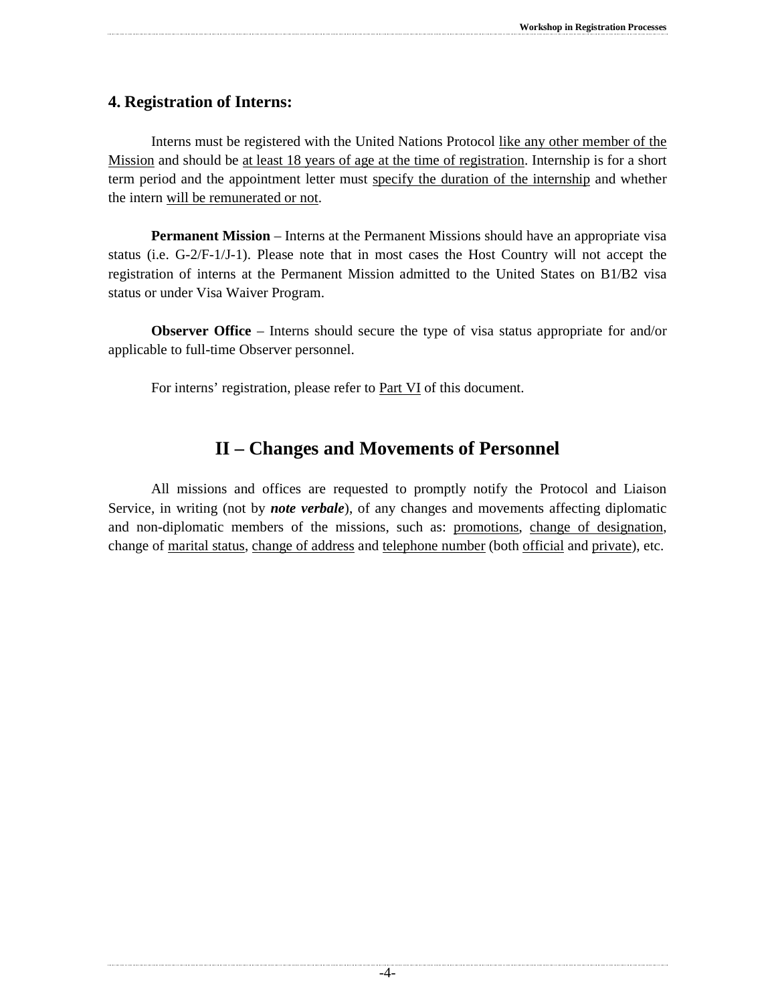#### **4. Registration of Interns:**

Interns must be registered with the United Nations Protocol like any other member of the Mission and should be at least 18 years of age at the time of registration. Internship is for a short term period and the appointment letter must specify the duration of the internship and whether the intern will be remunerated or not.

**Permanent Mission** – Interns at the Permanent Missions should have an appropriate visa status (i.e. G-2/F-1/J-1). Please note that in most cases the Host Country will not accept the registration of interns at the Permanent Mission admitted to the United States on B1/B2 visa status or under Visa Waiver Program.

**Observer Office** – Interns should secure the type of visa status appropriate for and/or applicable to full-time Observer personnel.

For interns' registration, please refer to **Part VI** of this document.

# **II – Changes and Movements of Personnel**

All missions and offices are requested to promptly notify the Protocol and Liaison Service, in writing (not by *note verbale*), of any changes and movements affecting diplomatic and non-diplomatic members of the missions, such as: promotions, change of designation, change of marital status, change of address and telephone number (both official and private), etc.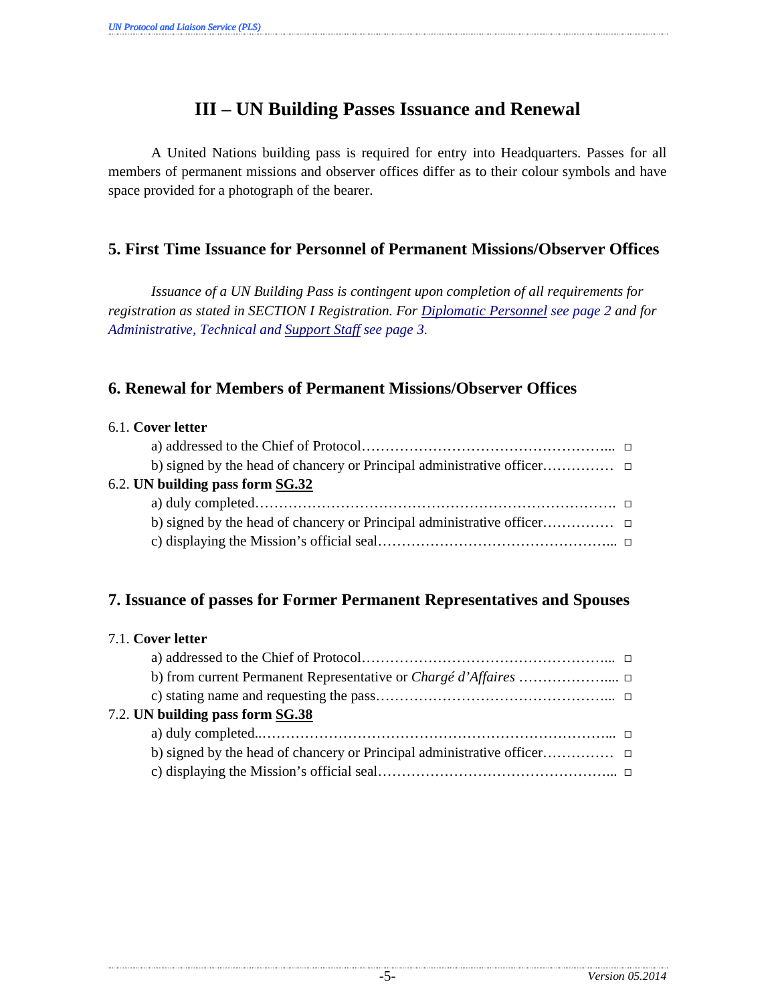# **III – UN Building Passes Issuance and Renewal**

A United Nations building pass is required for entry into Headquarters. Passes for all members of permanent missions and observer offices differ as to their colour symbols and have space provided for a photograph of the bearer.

## **5. First Time Issuance for Personnel of Permanent Missions/Observer Offices**

*Issuance of a UN Building Pass is contingent upon completion of all requirements for registration as stated in SECTION I Registration. For Diplomatic Personnel see page 2 and for Administrative, Technical and Support Staff see page 3.*

### **6. Renewal for Members of Permanent Missions/Observer Offices**

| 6.1. Cover letter                |  |
|----------------------------------|--|
|                                  |  |
|                                  |  |
| 6.2. UN building pass form SG.32 |  |
|                                  |  |
|                                  |  |
|                                  |  |

#### **7. Issuance of passes for Former Permanent Representatives and Spouses**

| 7.1. Cover letter |  |  |
|-------------------|--|--|
|                   |  |  |

| 7.2. UN building pass form SG.38 |  |
|----------------------------------|--|
|                                  |  |
|                                  |  |
|                                  |  |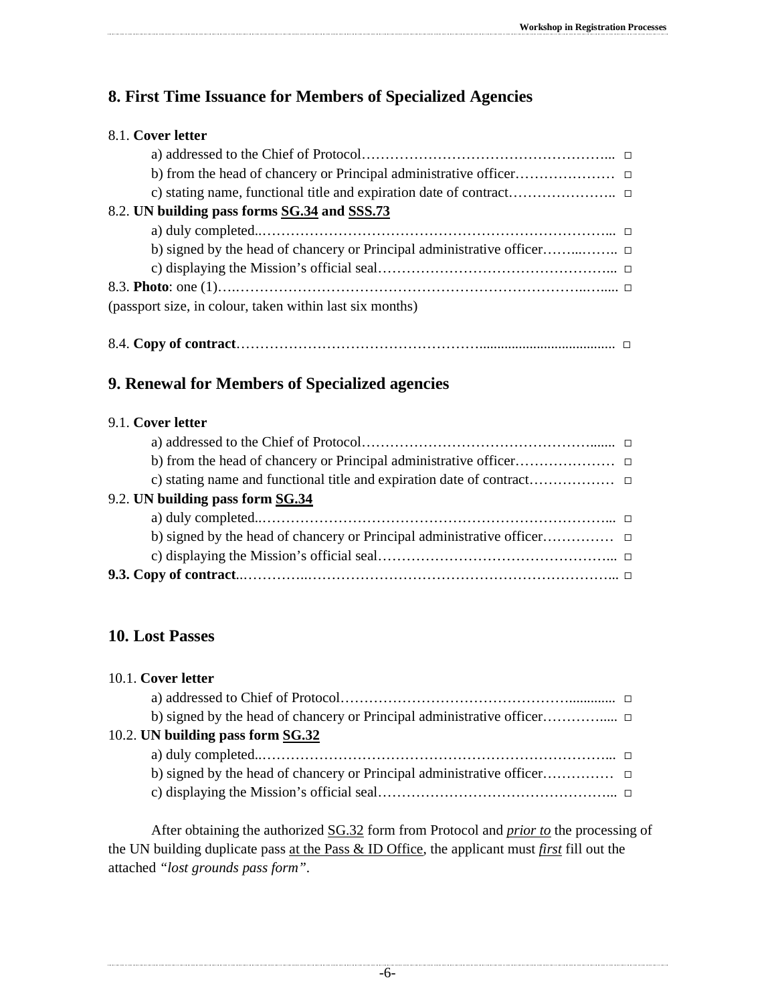# **8. First Time Issuance for Members of Specialized Agencies**

## 8.1. **Cover letter**

| 8.2. UN building pass forms SG.34 and SSS.73             |  |
|----------------------------------------------------------|--|
|                                                          |  |
|                                                          |  |
|                                                          |  |
|                                                          |  |
| (passport size, in colour, taken within last six months) |  |

## **9. Renewal for Members of Specialized agencies**

#### 9.1. **Cover letter**

| 9.2. UN building pass form SG.34 |  |
|----------------------------------|--|
|                                  |  |
|                                  |  |
|                                  |  |
|                                  |  |

## **10. Lost Passes**

| 10.1. Cover letter                |  |
|-----------------------------------|--|
|                                   |  |
|                                   |  |
| 10.2. UN building pass form SG.32 |  |
|                                   |  |
|                                   |  |
|                                   |  |

After obtaining the authorized SG.32 form from Protocol and *prior to* the processing of the UN building duplicate pass at the Pass & ID Office, the applicant must *first* fill out the attached *"lost grounds pass form"*.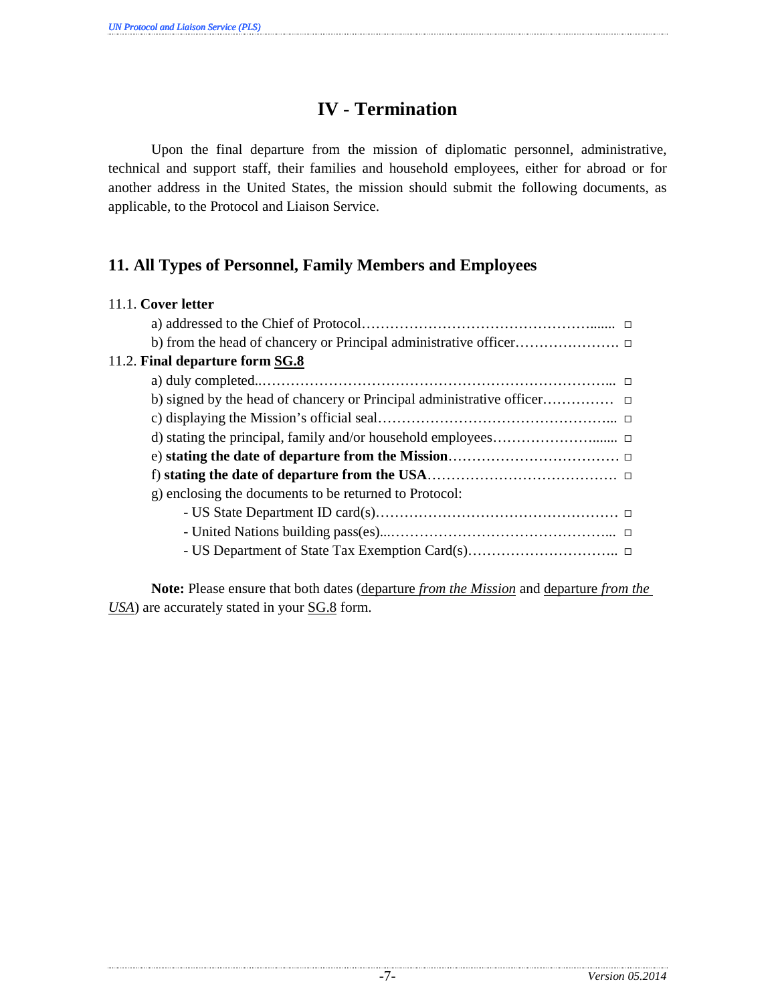# **IV - Termination**

 Upon the final departure from the mission of diplomatic personnel, administrative, technical and support staff, their families and household employees, either for abroad or for another address in the United States, the mission should submit the following documents, as applicable, to the Protocol and Liaison Service.

## **11. All Types of Personnel, Family Members and Employees**

| 11.1. Cover letter                                     |
|--------------------------------------------------------|
|                                                        |
|                                                        |
| 11.2. Final departure form SG.8                        |
|                                                        |
|                                                        |
|                                                        |
|                                                        |
|                                                        |
|                                                        |
| g) enclosing the documents to be returned to Protocol: |
|                                                        |
|                                                        |
|                                                        |
|                                                        |

 **Note:** Please ensure that both dates (departure *from the Mission* and departure *from the USA*) are accurately stated in your SG.8 form.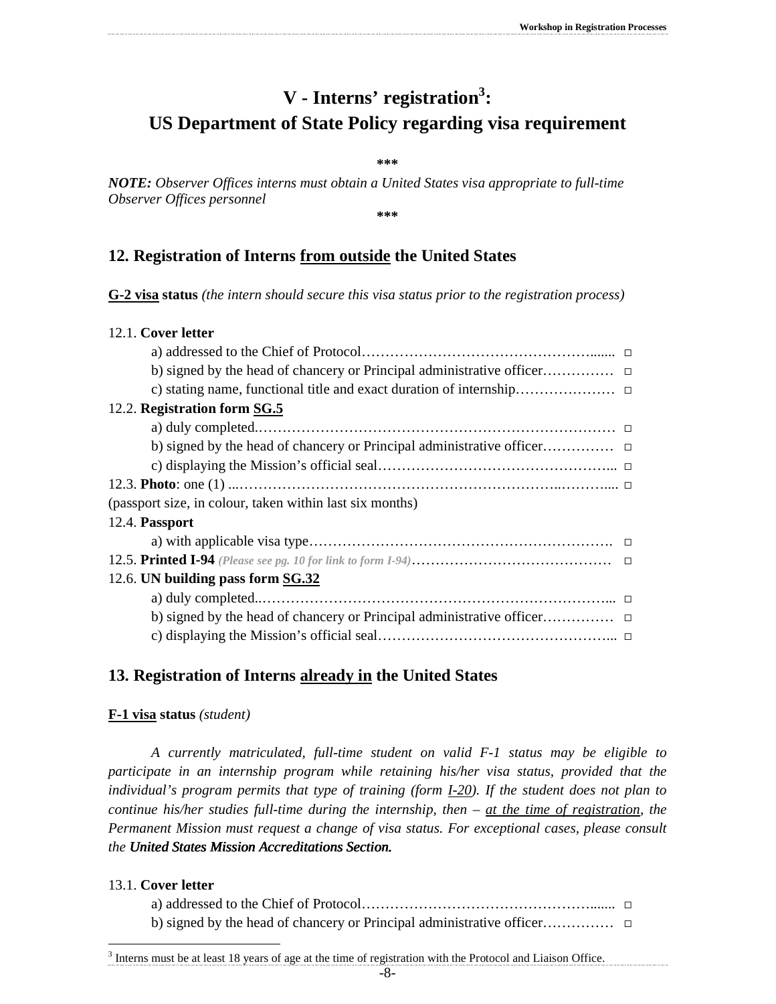# **V - Interns' registration<sup>3</sup> : US Department of State Policy regarding visa requirement**

**\*\*\*** 

*NOTE: Observer Offices interns must obtain a United States visa appropriate to full-time Observer Offices personnel*

**\*\*\*** 

#### **12. Registration of Interns from outside the United States**

**G-2 visa status** *(the intern should secure this visa status prior to the registration process)* 

# 12.1. **Cover letter**  a) addressed to the Chief of Protocol…………………………………………....... □ b) signed by the head of chancery or Principal administrative officer…………… □ c) stating name, functional title and exact duration of internship………………… □ 12.2. **Registration form SG.5** a) duly completed.………………………………………………………………… □ b) signed by the head of chancery or Principal administrative officer…………… □ c) displaying the Mission's official seal…………………………………………... □ 12.3. **Photo**: one (1) ...…………………………………………………………..……….... □ (passport size, in colour, taken within last six months) 12.4. **Passport** a) with applicable visa type………………………………………………………. □ 12.5. **Printed I-94** *(Please see pg. 10 for link to form I-94)*…………………………………… □ 12.6. **UN building pass form SG.32** a) duly completed..………………………………………………………………... □ b) signed by the head of chancery or Principal administrative officer…………… □ c) displaying the Mission's official seal…………………………………………... □ **13. Registration of Interns already in the United States**

#### **F-1 visa status** *(student)*

*A currently matriculated, full-time student on valid F-1 status may be eligible to participate in an internship program while retaining his/her visa status, provided that the individual's program permits that type of training (form I-20). If the student does not plan to continue his/her studies full-time during the internship, then – at the time of registration, the Permanent Mission must request a change of visa status. For exceptional cases, please consult the United States Mission Accreditations Section. United States Mission Accreditations Section. Mission Accreditations Section.* 

#### 13.1. **Cover letter**

-

| b) signed by the head of chancery or Principal administrative office $\ldots$ |  |
|-------------------------------------------------------------------------------|--|

<sup>&</sup>lt;sup>3</sup> Interns must be at least 18 years of age at the time of registration with the Protocol and Liaison Office.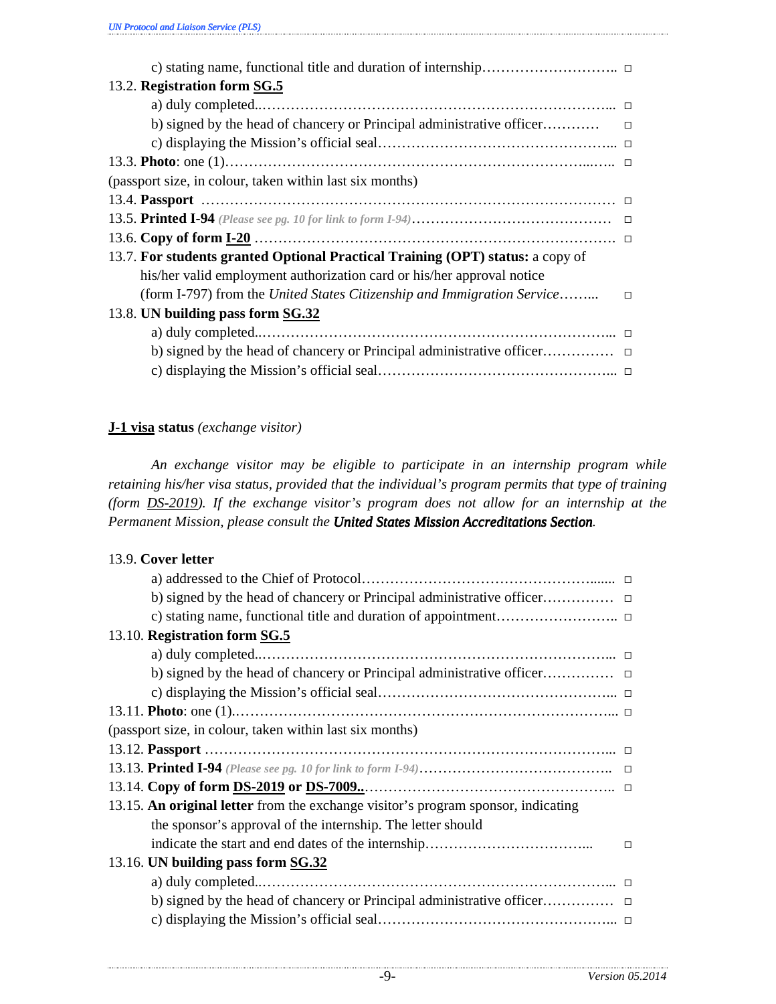| 13.2. Registration form SG.5                                                   |        |
|--------------------------------------------------------------------------------|--------|
|                                                                                |        |
|                                                                                |        |
|                                                                                |        |
|                                                                                |        |
| (passport size, in colour, taken within last six months)                       |        |
|                                                                                |        |
|                                                                                |        |
|                                                                                |        |
| 13.7. For students granted Optional Practical Training (OPT) status: a copy of |        |
| his/her valid employment authorization card or his/her approval notice         |        |
| (form I-797) from the United States Citizenship and Immigration Service        | $\Box$ |
| 13.8. UN building pass form SG.32                                              |        |
|                                                                                |        |
|                                                                                |        |
|                                                                                |        |

#### **J-1 visa status** *(exchange visitor)*

*An exchange visitor may be eligible to participate in an internship program while retaining his/her visa status, provided that the individual's program permits that type of training (form DS-2019). If the exchange visitor's program does not allow for an internship at the Permanent Mission, please consult the United States Mission Accreditations Section.* 

#### 13.9. **Cover letter**

| 13.10. Registration form SG.5                                                     |  |
|-----------------------------------------------------------------------------------|--|
|                                                                                   |  |
|                                                                                   |  |
|                                                                                   |  |
|                                                                                   |  |
| (passport size, in colour, taken within last six months)                          |  |
|                                                                                   |  |
|                                                                                   |  |
|                                                                                   |  |
| 13.15. An original letter from the exchange visitor's program sponsor, indicating |  |
| the sponsor's approval of the internship. The letter should                       |  |
|                                                                                   |  |
| 13.16. UN building pass form SG.32                                                |  |
|                                                                                   |  |
|                                                                                   |  |
|                                                                                   |  |
|                                                                                   |  |